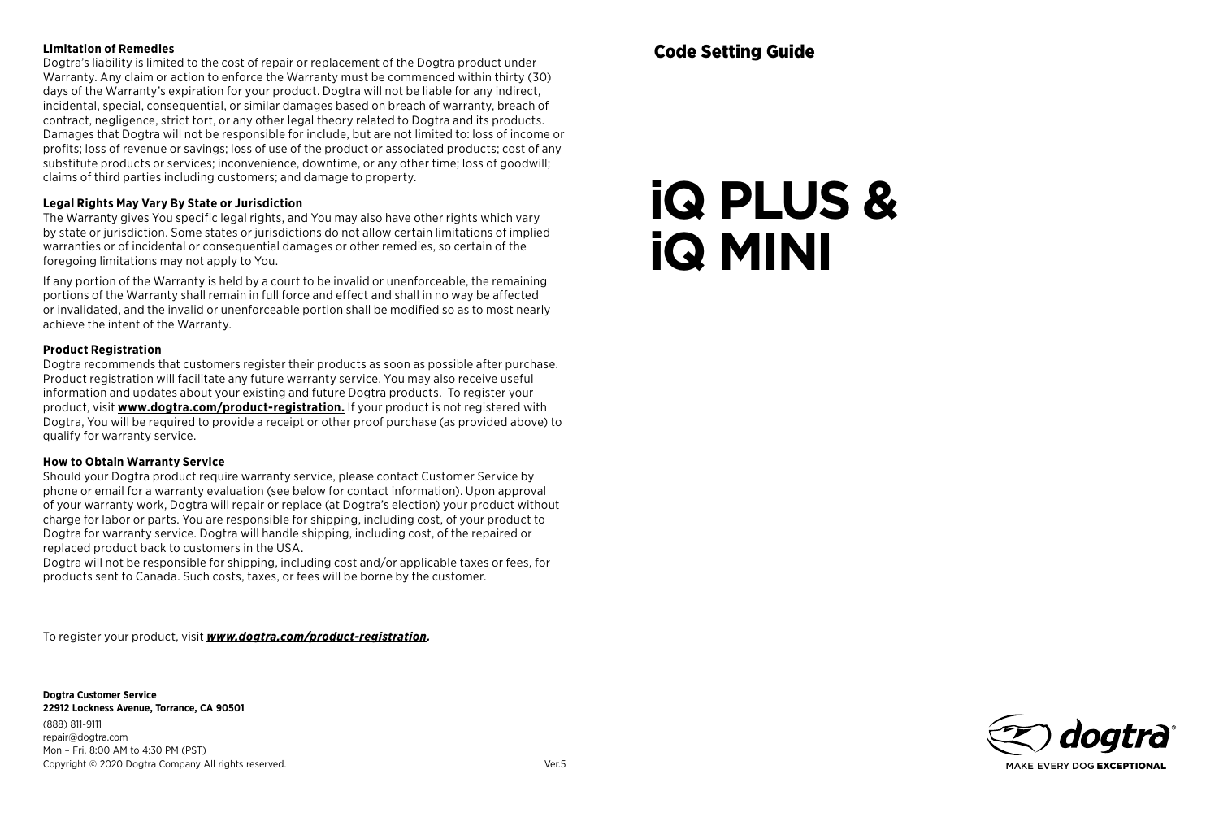### **Limitation of Remedies**

Dogtra's liability is limited to the cost of repair or replacement of the Dogtra product under Warranty. Any claim or action to enforce the Warranty must be commenced within thirty (30) days of the Warranty's expiration for your product. Dogtra will not be liable for any indirect, incidental, special, consequential, or similar damages based on breach of warranty, breach of contract, negligence, strict tort, or any other legal theory related to Dogtra and its products. Damages that Dogtra will not be responsible for include, but are not limited to: loss of income or profits; loss of revenue or savings; loss of use of the product or associated products; cost of any substitute products or services; inconvenience, downtime, or any other time; loss of goodwill; claims of third parties including customers; and damage to property.

### **Legal Rights May Vary By State or Jurisdiction**

The Warranty gives You specific legal rights, and You may also have other rights which vary by state or jurisdiction. Some states or jurisdictions do not allow certain limitations of implied warranties or of incidental or consequential damages or other remedies, so certain of the foregoing limitations may not apply to You.

If any portion of the Warranty is held by a court to be invalid or unenforceable, the remaining portions of the Warranty shall remain in full force and effect and shall in no way be affected or invalidated, and the invalid or unenforceable portion shall be modified so as to most nearly achieve the intent of the Warranty.

#### **Product Registration**

Dogtra recommends that customers register their products as soon as possible after purchase. Product registration will facilitate any future warranty service. You may also receive useful information and updates about your existing and future Dogtra products. To register your product, visit **www.dogtra.com/product-registration.** If your product is not registered with Dogtra, You will be required to provide a receipt or other proof purchase (as provided above) to qualify for warranty service.

#### **How to Obtain Warranty Service**

Should your Dogtra product require warranty service, please contact Customer Service by phone or email for a warranty evaluation (see below for contact information). Upon approval of your warranty work, Dogtra will repair or replace (at Dogtra's election) your product without charge for labor or parts. You are responsible for shipping, including cost, of your product to Dogtra for warranty service. Dogtra will handle shipping, including cost, of the repaired or replaced product back to customers in the USA.

Dogtra will not be responsible for shipping, including cost and/or applicable taxes or fees, for products sent to Canada. Such costs, taxes, or fees will be borne by the customer.

To register your product, visit *www.dogtra.com/product-registration.*

**Dogtra Customer Service 22912 Lockness Avenue, Torrance, CA 90501** (888) 811-9111 repair@dogtra.com Mon – Fri, 8:00 AM to 4:30 PM (PST) Copyright © 2020 Dogtra Company All rights reserved. Ver.5

# **iQ PLUS & iQ MINI**